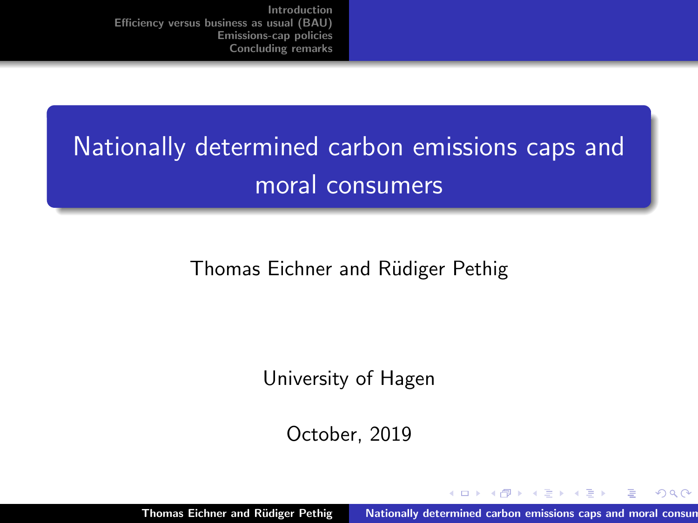# <span id="page-0-0"></span>Nationally determined carbon emissions caps and moral consumers

#### Thomas Eichner and Rüdiger Pethig

University of Hagen

October, 2019

Thomas Eichner and Rüdiger Pethig Nationally determined carbon emissions caps and moral consum

 $4.17 \times$ 

- オーバー オーバー エー・エー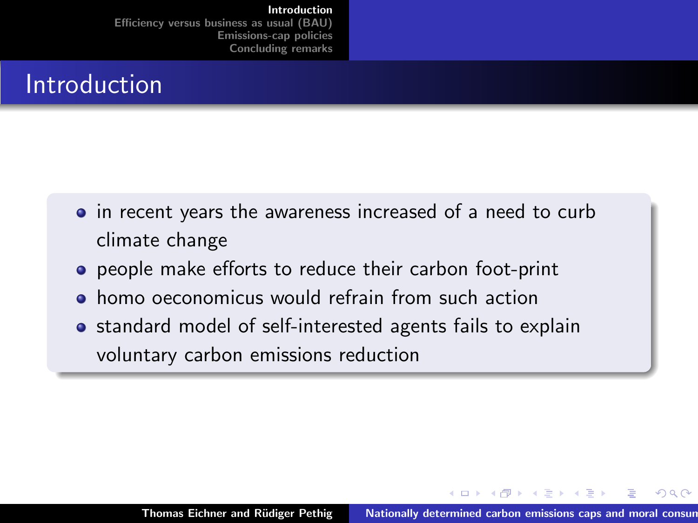### <span id="page-1-0"></span>**Introduction**

- in recent years the awareness increased of a need to curb climate change
- **•** people make efforts to reduce their carbon foot-print
- **•** homo oeconomicus would refrain from such action
- standard model of self-interested agents fails to explain voluntary carbon emissions reduction

- イタト イラト イラト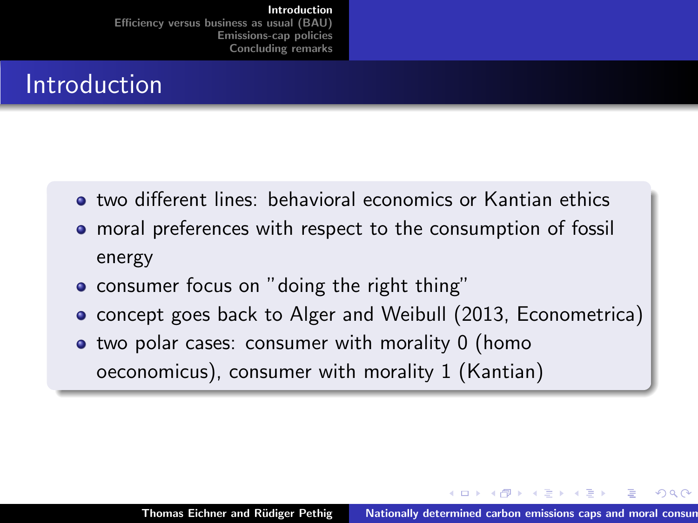### Introduction

- two different lines: behavioral economics or Kantian ethics
- moral preferences with respect to the consumption of fossil energy
- consumer focus on "doing the right thing"
- **•** concept goes back to Alger and Weibull (2013, Econometrica)
- two polar cases: consumer with morality 0 (homo oeconomicus), consumer with morality 1 (Kantian)

**Administration** 

へのへ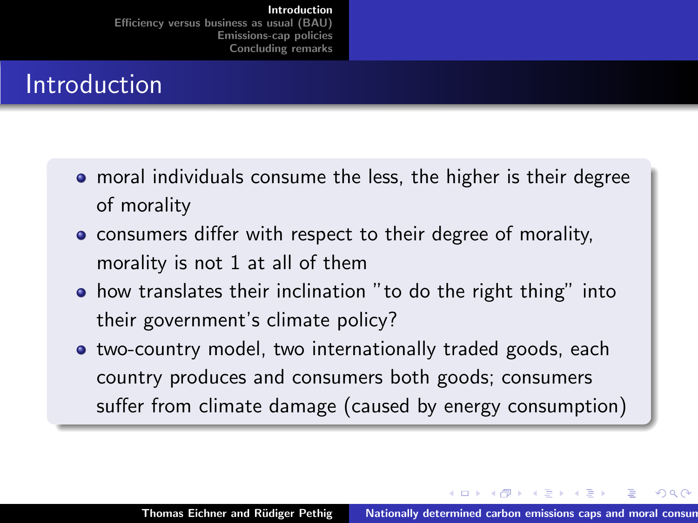### **Introduction**

- moral individuals consume the less, the higher is their degree of morality
- consumers differ with respect to their degree of morality, morality is not 1 at all of them
- how translates their inclination "to do the right thing" into their government's climate policy?
- **•** two-country model, two internationally traded goods, each country produces and consumers both goods; consumers suffer from climate damage (caused by energy consumption)

イロメ マ桐 メラミンマチャ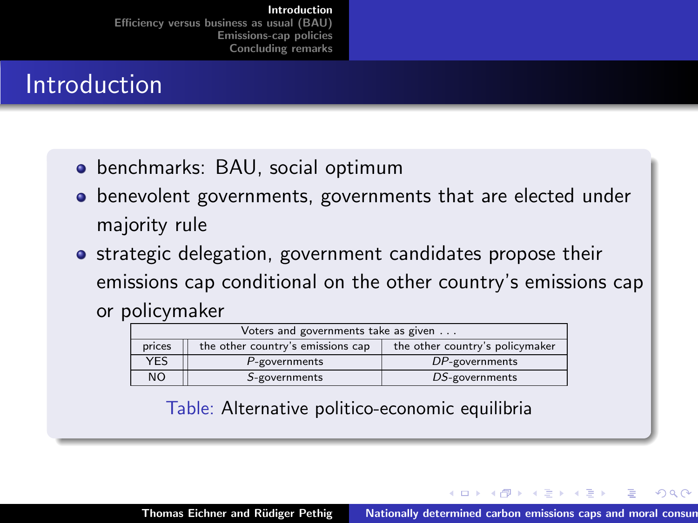### Introduction

- benchmarks: BAU, social optimum
- benevolent governments, governments that are elected under majority rule
- **•** strategic delegation, government candidates propose their emissions cap conditional on the other country's emissions cap or policymaker

| Voters and governments take as given |                                   |                                 |
|--------------------------------------|-----------------------------------|---------------------------------|
| prices                               | the other country's emissions cap | the other country's policymaker |
| <b>YES</b>                           | P-governments                     | DP-governments                  |
| <b>NO</b>                            | S-governments                     | DS-governments                  |

Table: Alternative politico-economic equilibria

- イタト イラト イラト

へのへ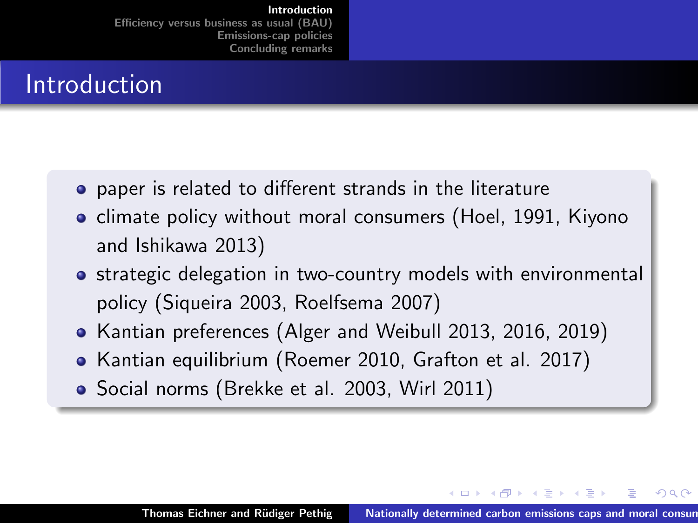### Introduction

- **•** paper is related to different strands in the literature
- **•** climate policy without moral consumers (Hoel, 1991, Kiyono and Ishikawa 2013)
- **•** strategic delegation in two-country models with environmental policy (Siqueira 2003, Roelfsema 2007)
- Kantian preferences (Alger and Weibull 2013, 2016, 2019)
- Kantian equilibrium (Roemer 2010, Grafton et al. 2017)
- Social norms (Brekke et al. 2003, Wirl 2011)

イロメ マ桐 メラミンマチャ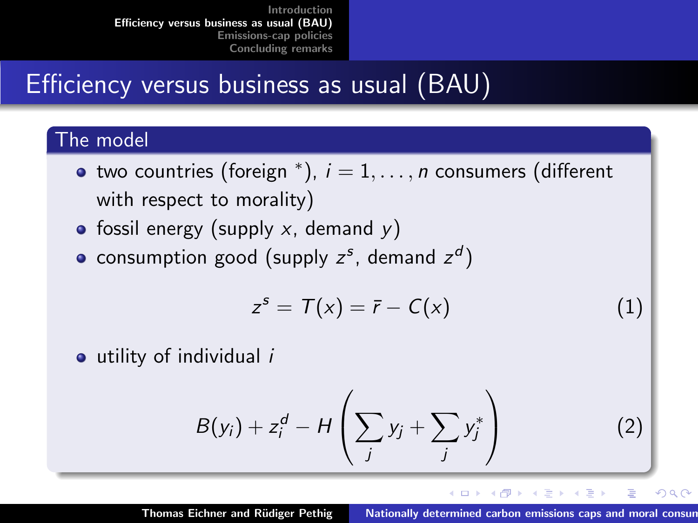# <span id="page-6-0"></span>Efficiency versus business as usual (BAU)

#### The model

- two countries (foreign  $^*$ ),  $i=1,\ldots,n$  consumers (different with respect to morality)
- fossil energy (supply  $x$ , demand  $y$ )
- consumption good (supply  $z^s$ , demand  $z^d$ )

$$
z^s = T(x) = \overline{r} - C(x) \tag{1}
$$

utility of individual i

$$
B(y_i) + z_i^d - H\left(\sum_j y_j + \sum_j y_j^*\right) \tag{2}
$$

イロト イ押 トイモト イモト Thomas Eichner and Rüdiger Pethig Nationally determined carbon emissions caps and moral consum

 $\equiv$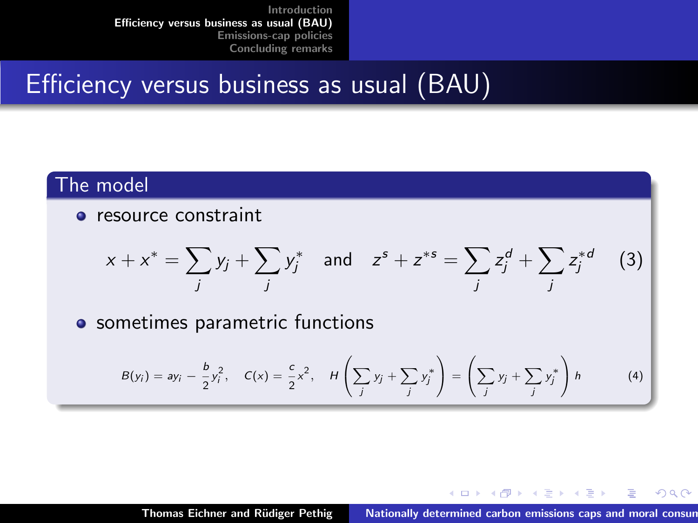### Efficiency versus business as usual (BAU)

#### The model

**•** resource constraint

$$
x + x^* = \sum_j y_j + \sum_j y_j^*
$$
 and  $z^s + z^{*s} = \sum_j z_j^d + \sum_j z_j^{*d}$  (3)

• sometimes parametric functions

$$
B(y_i) = ay_i - \frac{b}{2}y_i^2, \quad C(x) = \frac{c}{2}x^2, \quad H\left(\sum_j y_j + \sum_j y_j^*\right) = \left(\sum_j y_j + \sum_j y_j^*\right)h \tag{4}
$$

<span id="page-7-0"></span>メロメ メ御 メメ ミメ メミメ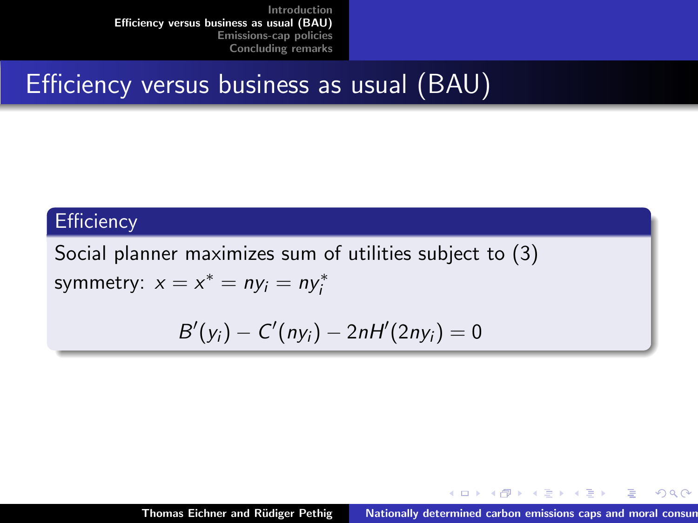### Efficiency versus business as usual (BAU)

#### **Efficiency**

Social planner maximizes sum of utilities subject to [\(3\)](#page-7-0) symmetry:  $x = x^* = n y_i = n y_i^*$ 

$$
B'(y_i)-C'(ny_i)-2nH'(2ny_i)=0
$$

メロメ メ御 メメ ミメ メミメ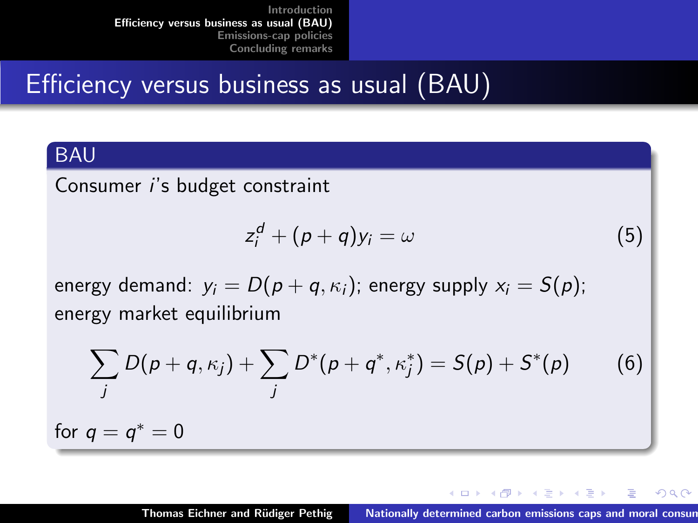### Efficiency versus business as usual (BAU)

#### BAU

Consumer i's budget constraint

$$
z_i^d + (p+q)y_i = \omega \tag{5}
$$

energy demand:  $y_i = D(p + q, \kappa_i)$ ; energy supply  $x_i = S(p)$ ; energy market equilibrium

$$
\sum_{j} D(p+q, \kappa_j) + \sum_{j} D^*(p+q^*, \kappa_j^*) = S(p) + S^*(p) \qquad (6)
$$

for  $q = q^* = 0$ 

イロメ イ母メ イヨメ イヨメー

 $QQ$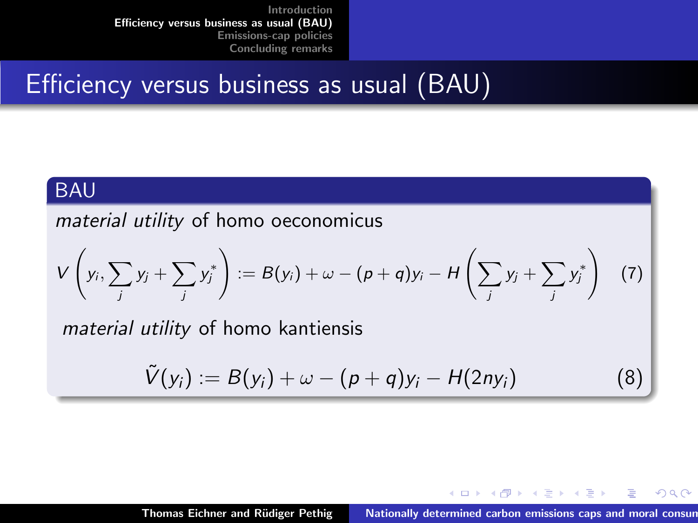### Efficiency versus business as usual (BAU)

#### BAU

material utility of homo oeconomicus

$$
V\left(y_i,\sum_j y_j+\sum_j y_j^*\right):=B(y_i)+\omega-(p+q)y_i-H\left(\sum_j y_j+\sum_j y_j^*\right)\quad (7)
$$

material utility of homo kantiensis

$$
\tilde{V}(y_i) := B(y_i) + \omega - (p+q)y_i - H(2ny_i)
$$
\n(8)

K ロ ⊁ K 倒 ≯ K ミ ⊁ K ミ ⊁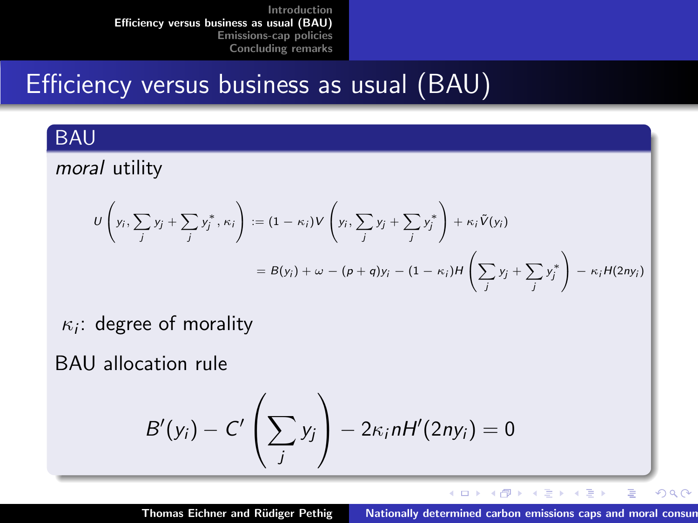# Efficiency versus business as usual (BAU)

#### BAU

#### moral utility

$$
U\left(y_i, \sum_j y_j + \sum_j y_j^*, \kappa_i\right) := (1 - \kappa_i)V\left(y_i, \sum_j y_j + \sum_j y_j^*\right) + \kappa_i \tilde{V}(y_i)
$$
  
=  $B(y_i) + \omega - (p + q)y_i - (1 - \kappa_i)H\left(\sum_j y_j + \sum_j y_j^*\right) - \kappa_i H(2\pi y_i)$ 

 $\kappa_i$ : degree of morality

BAU allocation rule

$$
B'(y_i)-C'\left(\sum_j y_j\right)-2\kappa_i nH'(2ny_i)=0
$$

イロメ イ部メ イヨメ イヨメー Thomas Eichner and Rüdiger Pethig Nationally determined carbon emissions caps and moral consum

 $\equiv$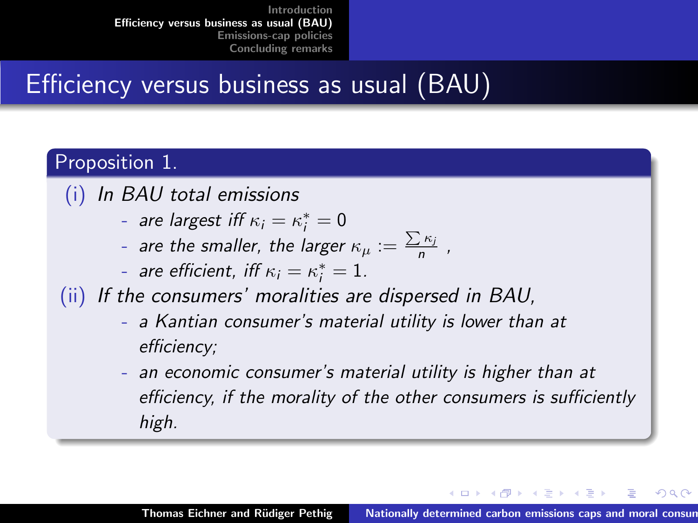# Efficiency versus business as usual (BAU)

#### Proposition 1.

- (i) In BAU total emissions
	- are largest iff  $\kappa_i = \kappa_i^* = 0$
	- are the smaller, the larger  $\kappa_\mu:=\frac{\sum \kappa_i}{n}$  ,
	- are efficient, iff  $\kappa_i = \kappa_i^* = 1$ .
- (ii) If the consumers' moralities are dispersed in BAU,
	- a Kantian consumer's material utility is lower than at efficiency;
	- an economic consumer's material utility is higher than at efficiency, if the morality of the other consumers is sufficiently high.

K ロ ⊁ K 倒 ≯ K ミ ⊁ K ミ ⊁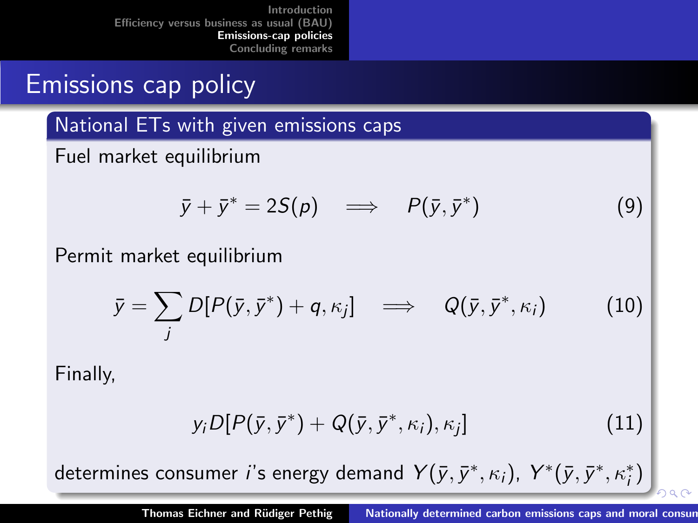# <span id="page-13-0"></span>Emissions cap policy

National ETs with given emissions caps

Fuel market equilibrium

$$
\bar{y} + \bar{y}^* = 2S(p) \implies P(\bar{y}, \bar{y}^*)
$$
 (9)

Permit market equilibrium

$$
\bar{y} = \sum_{j} D[P(\bar{y}, \bar{y}^*) + q, \kappa_j] \implies Q(\bar{y}, \bar{y}^*, \kappa_i)
$$
 (10)

Finally,

$$
y_i D[P(\bar{y}, \bar{y}^*) + Q(\bar{y}, \bar{y}^*, \kappa_i), \kappa_j]
$$
\n(11)

determ[i](#page-0-0)nes consumer  $i$ 's energy demand  $\,\mathsf{Y}(\bar{y},\bar{y}^*,\kappa_i),\;\mathsf{Y}^*(\bar{y},\bar{y}^*,\kappa_i^*)\,$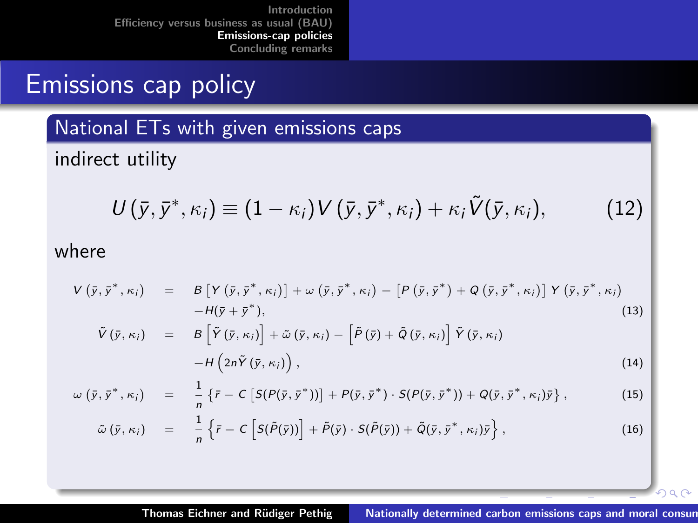# Emissions cap policy

National ETs with given emissions caps

indirect utility

$$
U(\bar{y}, \bar{y}^*, \kappa_i) \equiv (1 - \kappa_i) V(\bar{y}, \bar{y}^*, \kappa_i) + \kappa_i \tilde{V}(\bar{y}, \kappa_i), \qquad (12)
$$

where

$$
V(\bar{y}, \bar{y}^*, \kappa_i) = B[Y(\bar{y}, \bar{y}^*, \kappa_i)] + \omega(\bar{y}, \bar{y}^*, \kappa_i) - [P(\bar{y}, \bar{y}^*) + Q(\bar{y}, \bar{y}^*, \kappa_i)] Y(\bar{y}, \bar{y}^*, \kappa_i) -H(\bar{y} + \bar{y}^*),
$$
\n
$$
\tilde{V}(\bar{y}, \kappa_i) = B[\tilde{Y}(\bar{y}, \kappa_i)] + \tilde{\omega}(\bar{y}, \kappa_i) - [\tilde{P}(\bar{y}) + \tilde{Q}(\bar{y}, \kappa_i)] \tilde{Y}(\bar{y}, \kappa_i)
$$
\n
$$
-H(2n\tilde{Y}(\bar{y}, \kappa_i)),
$$
\n(14)

$$
\omega (\bar{y}, \bar{y}^*, \kappa_i) = \frac{1}{n} \{ \bar{r} - C \left[ S(P(\bar{y}, \bar{y}^*)) \right] + P(\bar{y}, \bar{y}^*) \cdot S(P(\bar{y}, \bar{y}^*)) + Q(\bar{y}, \bar{y}^*, \kappa_i) \bar{y} \}, \qquad (15)
$$

$$
\tilde{\omega}\left(\bar{y},\kappa_{i}\right) = \frac{1}{n}\left\{\bar{r}-C\left[S(\tilde{P}(\bar{y}))\right]+\tilde{P}(\bar{y})\cdot S(\tilde{P}(\bar{y}))+\tilde{Q}(\bar{y},\bar{y}^{*},\kappa_{i})\bar{y}\right\},\tag{16}
$$

 $000$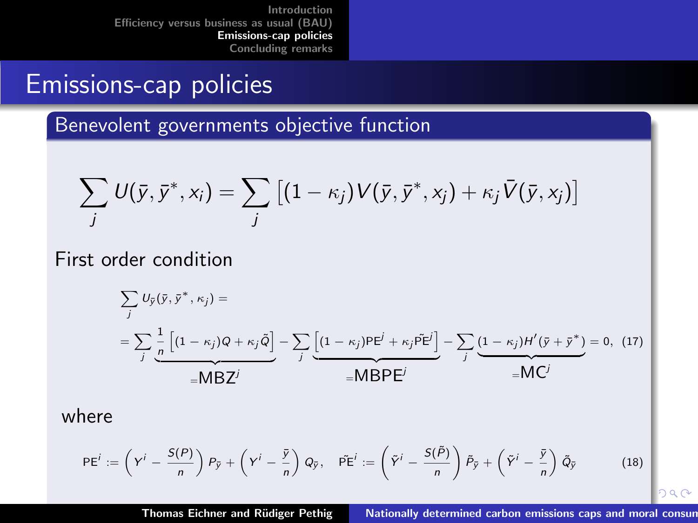### Emissions-cap policies

Benevolent governments objective function

$$
\sum_j U(\bar{y}, \bar{y}^*, x_i) = \sum_j \left[ (1 - \kappa_j) V(\bar{y}, \bar{y}^*, x_j) + \kappa_j \bar{V}(\bar{y}, x_j) \right]
$$

First order condition

$$
\sum_{j} U_{\tilde{y}}(\tilde{y}, \tilde{y}^*, \kappa_j) =
$$
\n
$$
= \sum_{j} \frac{1}{n} \left[ (1 - \kappa_j)Q + \kappa_j \tilde{Q} \right] - \sum_{j} \underbrace{\left[ (1 - \kappa_j)PE^{j} + \kappa_j \tilde{PE}^{j} \right]}_{\equiv \text{MBPE}^{j}} - \sum_{j} \underbrace{(1 - \kappa_j)H'(\tilde{y} + \tilde{y}^*)}_{\equiv \text{MC}^{j}} = 0, (17)
$$

where

$$
PE^{i} := \left(Y^{i} - \frac{S(P)}{n}\right)P_{\tilde{y}} + \left(Y^{i} - \frac{\tilde{y}}{n}\right)Q_{\tilde{y}}, \quad \tilde{PE}^{i} := \left(\tilde{Y}^{i} - \frac{S(\tilde{P})}{n}\right)\tilde{P}_{\tilde{y}} + \left(\tilde{Y}^{i} - \frac{\tilde{y}}{n}\right)\tilde{Q}_{\tilde{y}}
$$
(18)

Thomas Eichner and Rüdiger Pethig Nationally determined carbon emissions caps and moral consum

 $290$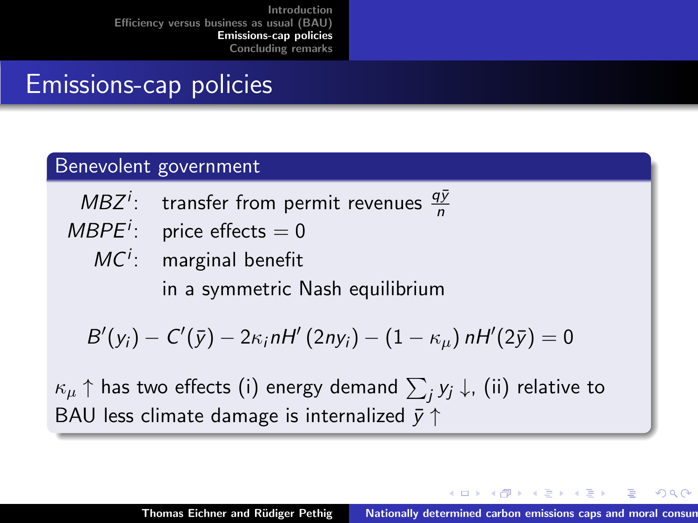# Emissions-cap policies

#### Benevolent government

- $MBZ<sup>i</sup>$ : transfer from permit revenues  $\frac{q\bar{y}}{n}$
- $MBPE<sup>i</sup>$ : price effects = 0
	- $MC<sup>i</sup>$ : marginal benefit in a symmetric Nash equilibrium

$$
B'(y_i)-C'(\bar{y})-2\kappa_i nH'(2ny_i)-(1-\kappa_\mu) nH'(2\bar{y})=0
$$

 $\kappa_\mu \uparrow$  has two effects (i) energy demand  $\sum_j y_j \downarrow$ , (ii) relative to BAU less climate damage is internalized  $\bar{y} \uparrow$ 

K ロ ⊁ K 倒 ≯ K ミ ⊁ K ミ ⊁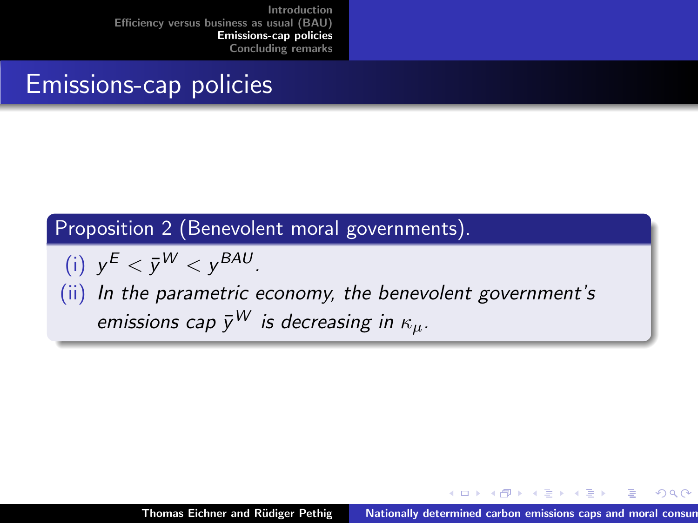### Emissions-cap policies

#### Proposition 2 (Benevolent moral governments).

$$
(i) \ \ y^E < \bar{y}^W < y^{BAU}.
$$

(ii) In the parametric economy, the benevolent government's emissions cap  $\bar{y}^W$  is decreasing in  $\kappa_u$ .

イロメ マ桐 メラミンマチャ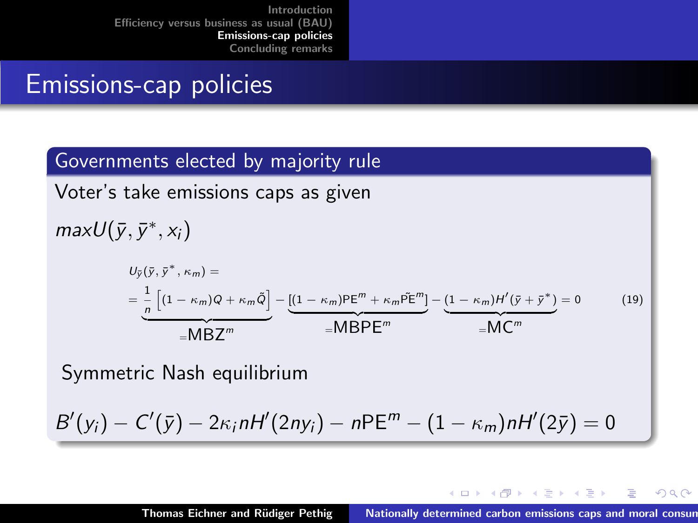### Emissions-cap policies

#### Governments elected by majority rule

Voter's take emissions caps as given

 $maxU(\bar{y}, \bar{y}^*, x_i)$ 

$$
U_{\bar{y}}(\bar{y}, \bar{y}^*, \kappa_m) =
$$
  
= 
$$
\frac{1}{n} \left[ (1 - \kappa_m)Q + \kappa_m \tilde{Q} \right] - \underbrace{[(1 - \kappa_m)P\mathsf{E}^m + \kappa_m \tilde{P}\mathsf{E}^m]}_{=\mathsf{MBPE}^m} - \underbrace{(1 - \kappa_m)H'(\bar{y} + \bar{y}^*)}_{=\mathsf{MC}^m} = 0
$$
 (19)

Symmetric Nash equilibrium

$$
B'(y_i) - C'(\bar{y}) - 2\kappa_i nH'(2ny_i) - nPE^m - (1 - \kappa_m)nH'(2\bar{y}) = 0
$$

K ロ ⊁ K 倒 ≯ K ミ ⊁ K ミ ⊁

 $2Q$ 

重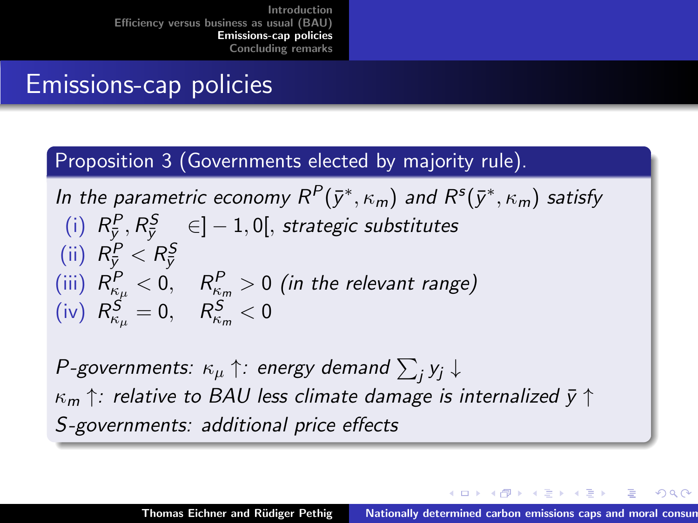# Emissions-cap policies

#### Proposition 3 (Governments elected by majority rule).

In the parametric economy  $R^P(\bar{y}^*, \kappa_m)$  and  $R^s(\bar{y}^*, \kappa_m)$  satisfy (i)  $R_{\bar{y}}^P, R_{\bar{y}}^S \in ]-1,0[$ , strategic substitutes (ii)  $R_{\bar{y}}^P < R_{\bar{y}}^S$  $\left(\begin{matrix} \mathrm{iii} \end{matrix}\right)\; R_{\kappa_{\mu}}^{P} < 0, \quad R_{\kappa_{m}}^{P} > 0$   $\left(\begin{matrix} \mathrm{in} \; \mathrm{the} \; \mathrm{relevant} \; \mathrm{range} \end{matrix}\right)$ (iv)  $R_{\kappa_{\mu}}^{\mathcal{S}}=0, \quad R_{\kappa_{m}}^{\mathcal{S}}<0$ 

P-governments:  $\kappa_\mu \uparrow$ : energy demand  $\sum_j y_j \downarrow$  $\kappa_m \uparrow$ : relative to BAU less climate damage is internalized  $\bar{y} \uparrow$ S-governments: additional price effects

イロン イ団ン イミン イミン 一番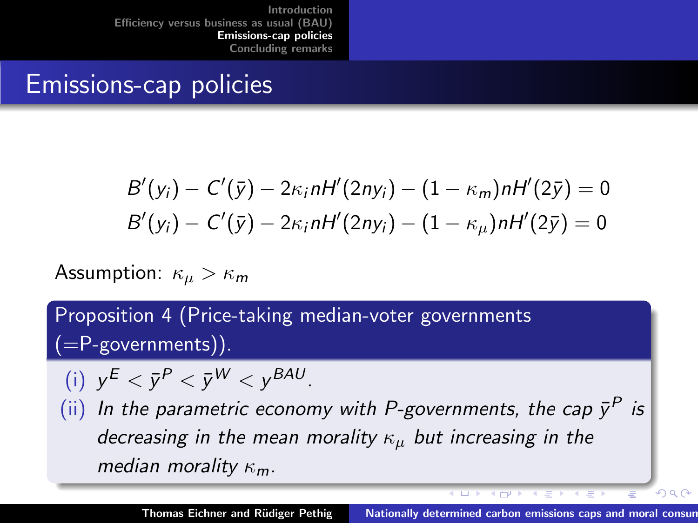### Emissions-cap policies

$$
B'(y_i) - C'(\bar{y}) - 2\kappa_i nH'(2ny_i) - (1 - \kappa_m)nH'(2\bar{y}) = 0
$$
  

$$
B'(y_i) - C'(\bar{y}) - 2\kappa_i nH'(2ny_i) - (1 - \kappa_\mu)nH'(2\bar{y}) = 0
$$

Assumption:  $\kappa_u > \kappa_m$ 

Proposition 4 (Price-taking median-voter governments (=P-governments)).

$$
(i) \ \ y^E < \bar{y}^P < \bar{y}^W < y^{BAU}.
$$

(ii) In the parametric economy with P-governments, the cap  $\bar{y}^P$  is decreasing in the mean morality  $\kappa_{\mu}$  but increasing in the median morality  $\kappa_m$ .

**KICP PT** 

 $000$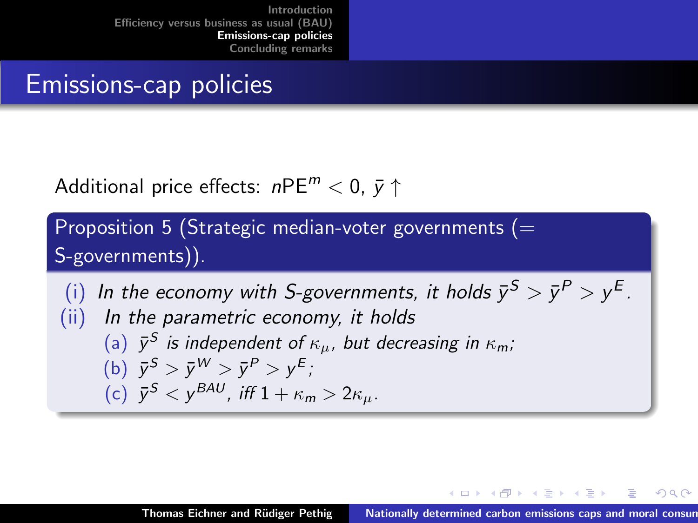### Emissions-cap policies

Additional price effects:  $nPE^{m} < 0$ ,  $\bar{v} \uparrow$ 

Proposition 5 (Strategic median-voter governments  $(=$ S-governments)).

(i) In the economy with S-governments, it holds  $\bar{y}^S > \bar{y}^P > y^E$ . (ii) In the parametric economy, it holds (a)  $\bar{y}^S$  is independent of  $\kappa_{\mu}$ , but decreasing in  $\kappa_m$ ; (b)  $\bar{y}^S > \bar{y}^W > \bar{y}^P > y^E$ ; (c)  $\bar{y}^S < y^{BAU}$ , iff  $1 + \kappa_m > 2\kappa_\mu$ .

イロメ イ押 トイラ トイラメー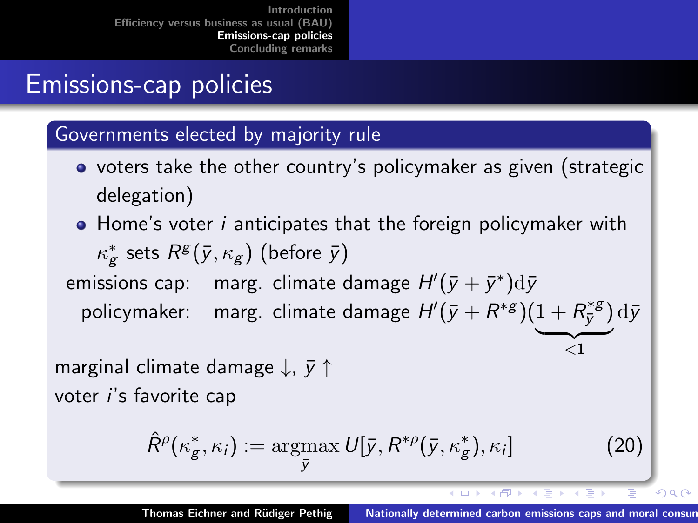# Emissions-cap policies

#### Governments elected by majority rule

- voters take the other country's policymaker as given (strategic delegation)
- Home's voter *i* anticipates that the foreign policymaker with  $\kappa_{\mathsf{g}}^*$  sets  $R^{\mathsf{g}}(\bar{\mathsf{y}},\kappa_{\mathsf{g}})$  (before  $\bar{\mathsf{y}}$ ) emissions cap:  $\mod$  marg. climate damage  $H'(\bar{y}+\bar{y}^*)\mathrm{d}\bar{y}$ policymaker:  $\>$  marg. climate damage  $H'(\bar{y}+R^{*\mathrm{g}})(1+R^{*\mathrm{g}}_{\bar{v}})$  $(\bar{\bar y}^{*g})\,\mathrm{d}\bar y$

marginal climate damage  $\downarrow$ ,  $\bar{v}$   $\uparrow$ voter i's favorite cap

$$
\hat{R}^{\rho}(\kappa_{g}^{*}, \kappa_{i}) := \underset{\bar{y}}{\operatorname{argmax}} U[\bar{y}, R^{*\rho}(\bar{y}, \kappa_{g}^{*}), \kappa_{i}] \qquad (20)
$$

 $\overline{\langle 1}$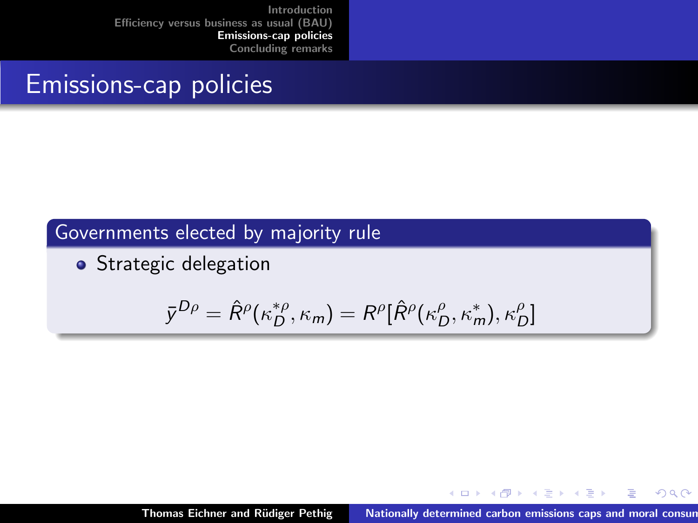### Emissions-cap policies

### Governments elected by majority rule

• Strategic delegation

$$
\bar{y}^{D\rho} = \hat{R}^{\rho}(\kappa_D^{*\rho}, \kappa_m) = R^{\rho}[\hat{R}^{\rho}(\kappa_D^{\rho}, \kappa_m^{*}), \kappa_D^{\rho}]
$$

メロメ メ御 メメ ミメ メミメ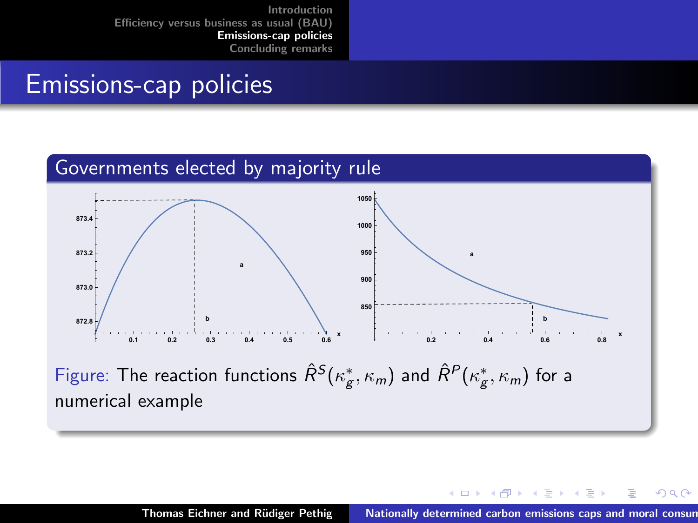# Emissions-cap policies

#### Governments elected by majority rule



Figure: The reaction functions  $\hat{R}^S(\kappa_{\rm g}^*,\kappa_{\rm m})$  and  $\hat{R}^P(\kappa_{\rm g}^*,\kappa_{\rm m})$  for a numerical example

 $\leftarrow$   $\Box$ 

マーター マートマート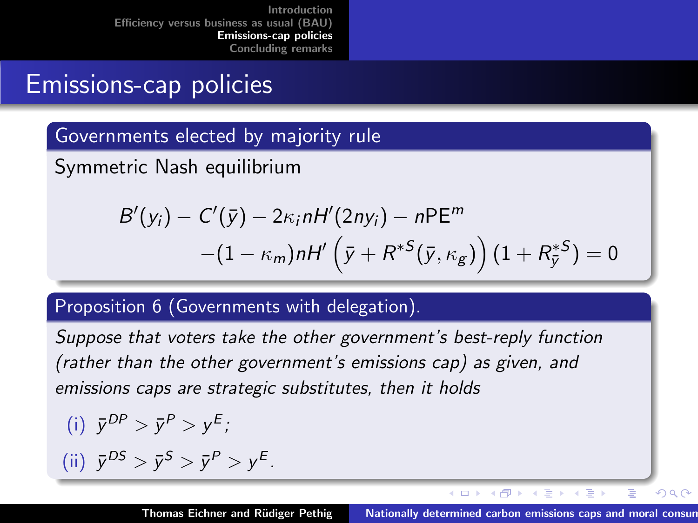# Emissions-cap policies

Governments elected by majority rule

Symmetric Nash equilibrium

$$
B'(y_i) - C'(\bar{y}) - 2\kappa_i nH'(2ny_i) - nPE^m
$$
  
-(1 - \kappa\_m)nH'\left(\bar{y} + R^{\*S}(\bar{y}, \kappa\_g)\right)(1 + R\_{\bar{y}}^{\*S}) = 0

#### Proposition 6 (Governments with delegation).

Suppose that voters take the other government's best-reply function (rather than the other government's emissions cap) as given, and emissions caps are strategic substitutes, then it holds

(i) 
$$
\bar{y}^{DP} > \bar{y}^P > y^E
$$
;  
(ii)  $\bar{y}^{DS} > \bar{y}^S > \bar{y}^P > y^E$ .

K ロ ⊁ K 倒 ≯ K ミ ⊁ K ミ ⊁

 $\equiv$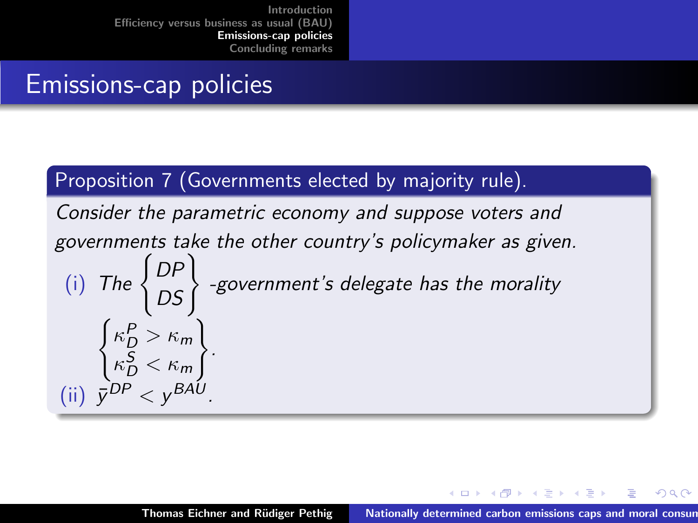### Emissions-cap policies

#### Proposition 7 (Governments elected by majority rule).

Consider the parametric economy and suppose voters and governments take the other country's policymaker as given. (i) The  $\begin{Bmatrix} DP \\ DS \end{Bmatrix}$  -government's delegate has the morality  $\int \kappa_D^P > \kappa_m$  $\kappa_D^{\sf S}<\kappa_m$  $\mathcal{L}$ . (ii)  $\bar{y}^{DP} < y^{BAU}$ .

イロメ イ部メ イヨメ イヨメー

へのへ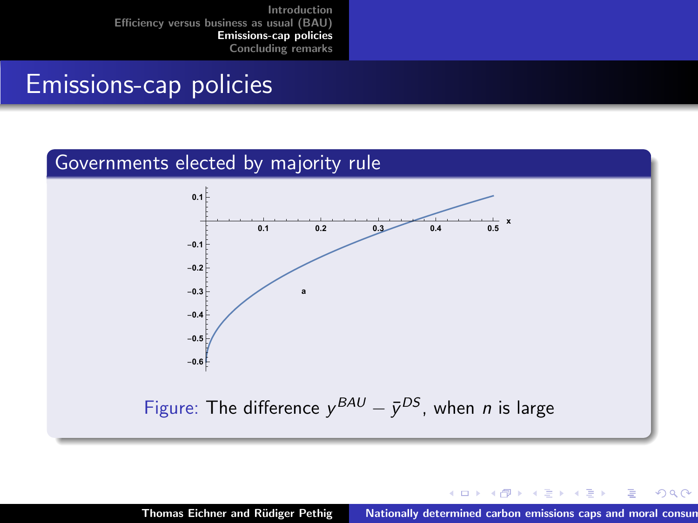### Emissions-cap policies

#### Governments elected by majority rule



メロメ メ御 メメ ミメ メミメ

 $2Q$ 

Ξ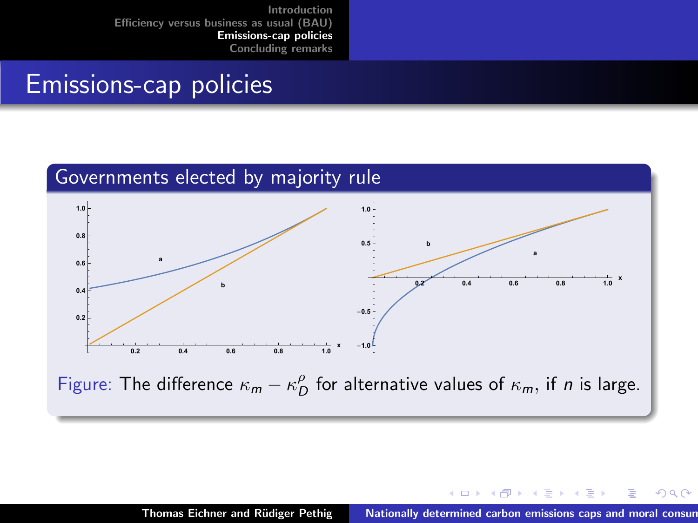### Emissions-cap policies



 $\left\{ \begin{array}{ccc} 1 & 0 & 0 \\ 0 & 1 & 0 \end{array} \right\}$  ,  $\left\{ \begin{array}{ccc} 1 & 0 & 0 \\ 0 & 1 & 0 \end{array} \right\}$ 

- 4 ⊞ +

 $QQ$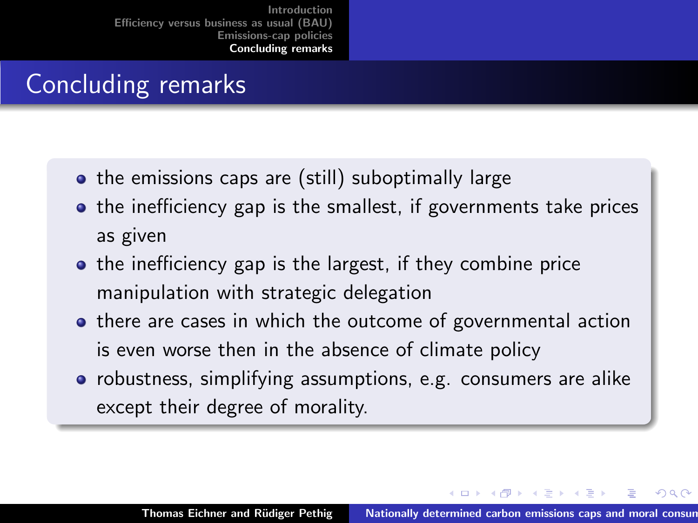# <span id="page-29-0"></span>Concluding remarks

- the emissions caps are (still) suboptimally large
- the inefficiency gap is the smallest, if governments take prices as given
- the inefficiency gap is the largest, if they combine price manipulation with strategic delegation
- there are cases in which the outcome of governmental action is even worse then in the absence of climate policy
- robustness, simplifying assumptions, e.g. consumers are alike except their degree of morality.

イロメ マ桐 メラミンマチャ

へのへ